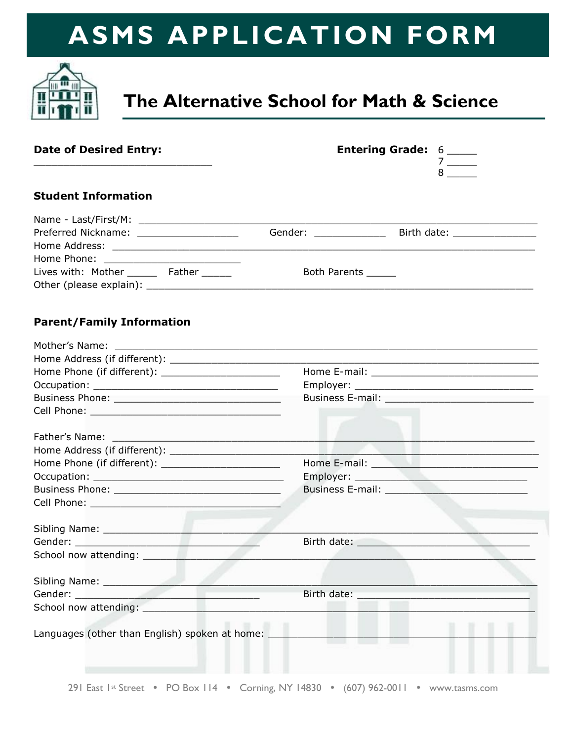

## **The Alternative School for Math & Science**

| <b>Date of Desired Entry:</b>                                                                                 | <b>Entering Grade: 6 _____</b><br>$7 \underline{\hspace{1cm}}$ |                                                                                                                  |                                |
|---------------------------------------------------------------------------------------------------------------|----------------------------------------------------------------|------------------------------------------------------------------------------------------------------------------|--------------------------------|
| <b>Student Information</b>                                                                                    |                                                                |                                                                                                                  |                                |
|                                                                                                               |                                                                |                                                                                                                  |                                |
|                                                                                                               | Gender: ______________                                         |                                                                                                                  | Birth date: __________________ |
|                                                                                                               |                                                                |                                                                                                                  |                                |
|                                                                                                               |                                                                |                                                                                                                  |                                |
| Lives with: Mother _______ Father ______                                                                      | Both Parents ______                                            |                                                                                                                  |                                |
|                                                                                                               |                                                                |                                                                                                                  |                                |
| <b>Parent/Family Information</b>                                                                              |                                                                |                                                                                                                  |                                |
|                                                                                                               |                                                                |                                                                                                                  |                                |
|                                                                                                               |                                                                |                                                                                                                  |                                |
|                                                                                                               |                                                                |                                                                                                                  |                                |
|                                                                                                               |                                                                |                                                                                                                  |                                |
|                                                                                                               |                                                                | Business E-mail: New York Street, New York Street, New York Street, New York Street, New York Street, New York   |                                |
|                                                                                                               |                                                                |                                                                                                                  |                                |
|                                                                                                               |                                                                |                                                                                                                  |                                |
|                                                                                                               |                                                                |                                                                                                                  |                                |
|                                                                                                               |                                                                | Home E-mail: New York Products and Security Assembly Products and Security Assembly                              |                                |
|                                                                                                               |                                                                |                                                                                                                  |                                |
|                                                                                                               |                                                                |                                                                                                                  |                                |
|                                                                                                               |                                                                |                                                                                                                  |                                |
| Sibling Name: 1999 - 1999 - 1999 - 1999 - 1999 - 1999 - 1999 - 1999 - 1999 - 1999 - 1999 - 1999 - 1999 - 1999 |                                                                |                                                                                                                  |                                |
|                                                                                                               |                                                                |                                                                                                                  |                                |
| School now attending:                                                                                         |                                                                |                                                                                                                  |                                |
|                                                                                                               |                                                                |                                                                                                                  |                                |
|                                                                                                               |                                                                | Birth date: University of the University of the University of the University of the University of the University |                                |
|                                                                                                               |                                                                |                                                                                                                  |                                |
| Languages (other than English) spoken at home:                                                                |                                                                |                                                                                                                  |                                |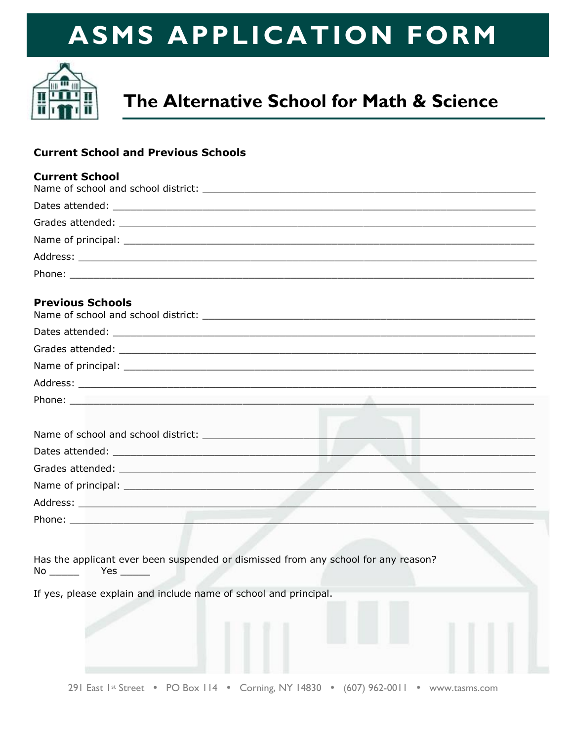

## The Alternative School for Math & Science

### **Current School and Previous Schools**

| <b>Current School</b> |  |
|-----------------------|--|
|                       |  |
|                       |  |
|                       |  |
|                       |  |
| Phone:                |  |

#### **Previous Schools**

| Phone: <u>Alexander Alexander Alexander Alexander Alexander Alexander Alexander Alexander Alexander Alexander Alexander Alexander Alexander Alexander Alexander Alexander Alexander Alexander Alexander Alexander Alexander Alex</u> |  |
|--------------------------------------------------------------------------------------------------------------------------------------------------------------------------------------------------------------------------------------|--|
|                                                                                                                                                                                                                                      |  |
|                                                                                                                                                                                                                                      |  |
|                                                                                                                                                                                                                                      |  |

| Grades attended:   |  |  |
|--------------------|--|--|
| Name of principal: |  |  |
| Address:           |  |  |
| Phone:             |  |  |

|    | Has the applicant ever been suspended or dismissed from any school for any reason? |  |  |  |
|----|------------------------------------------------------------------------------------|--|--|--|
| No | Yes.                                                                               |  |  |  |

If yes, please explain and include name of school and principal.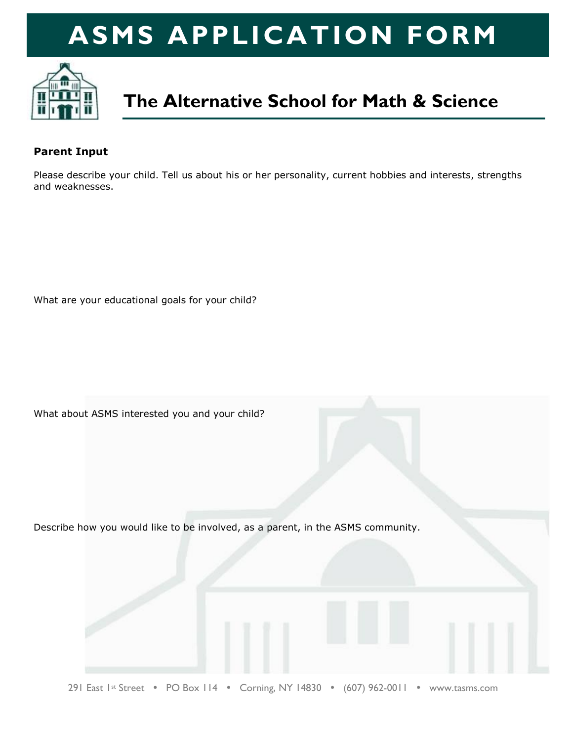

### **The Alternative School for Math & Science**

#### **Parent Input**

Please describe your child. Tell us about his or her personality, current hobbies and interests, strengths and weaknesses.

What are your educational goals for your child?

What about ASMS interested you and your child?

Describe how you would like to be involved, as a parent, in the ASMS community.